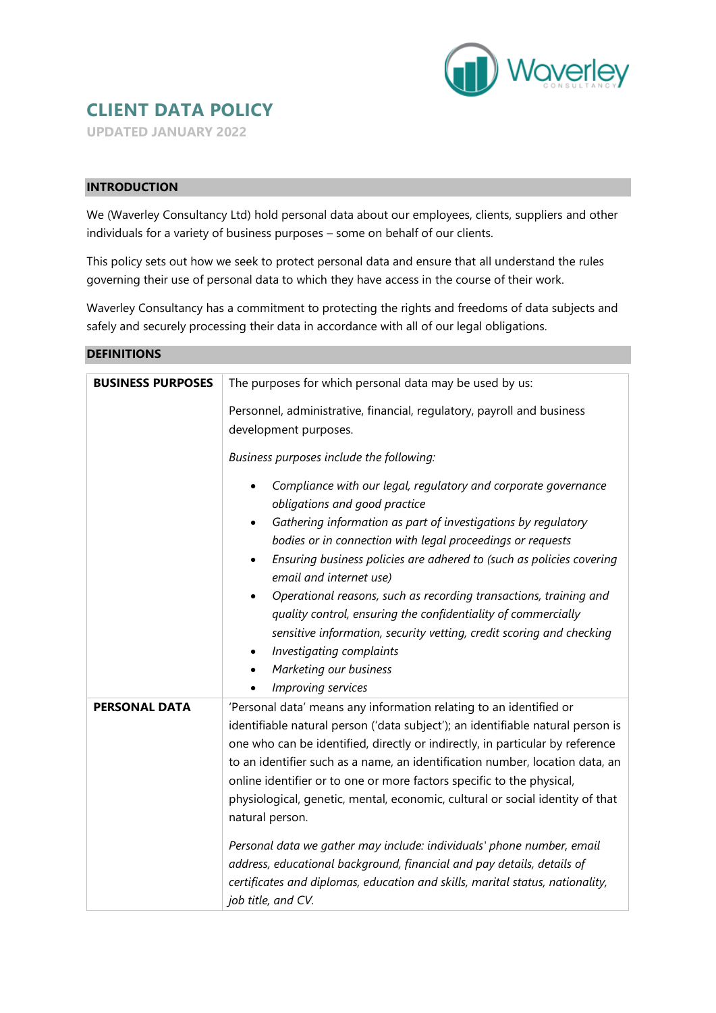

# **CLIENT DATA POLICY**

**UPDATED JANUARY 2022**

## **INTRODUCTION**

We (Waverley Consultancy Ltd) hold personal data about our employees, clients, suppliers and other individuals for a variety of business purposes – some on behalf of our clients.

This policy sets out how we seek to protect personal data and ensure that all understand the rules governing their use of personal data to which they have access in the course of their work.

Waverley Consultancy has a commitment to protecting the rights and freedoms of data subjects and safely and securely processing their data in accordance with all of our legal obligations.

| <b>DEFINITIONS</b>       |                                                                                                                                                                                                                                                                                                                                                                                                                                                                                                                                                                                                                                                                                                                                                                                                                                   |
|--------------------------|-----------------------------------------------------------------------------------------------------------------------------------------------------------------------------------------------------------------------------------------------------------------------------------------------------------------------------------------------------------------------------------------------------------------------------------------------------------------------------------------------------------------------------------------------------------------------------------------------------------------------------------------------------------------------------------------------------------------------------------------------------------------------------------------------------------------------------------|
| <b>BUSINESS PURPOSES</b> | The purposes for which personal data may be used by us:<br>Personnel, administrative, financial, regulatory, payroll and business<br>development purposes.<br>Business purposes include the following:<br>Compliance with our legal, regulatory and corporate governance<br>obligations and good practice<br>Gathering information as part of investigations by regulatory<br>bodies or in connection with legal proceedings or requests<br>Ensuring business policies are adhered to (such as policies covering<br>$\bullet$<br>email and internet use)<br>Operational reasons, such as recording transactions, training and<br>quality control, ensuring the confidentiality of commercially<br>sensitive information, security vetting, credit scoring and checking<br>Investigating complaints<br>٠<br>Marketing our business |
| <b>PERSONAL DATA</b>     | Improving services<br>'Personal data' means any information relating to an identified or<br>identifiable natural person ('data subject'); an identifiable natural person is<br>one who can be identified, directly or indirectly, in particular by reference<br>to an identifier such as a name, an identification number, location data, an<br>online identifier or to one or more factors specific to the physical,<br>physiological, genetic, mental, economic, cultural or social identity of that<br>natural person.<br>Personal data we gather may include: individuals' phone number, email<br>address, educational background, financial and pay details, details of<br>certificates and diplomas, education and skills, marital status, nationality,<br>job title, and CV.                                               |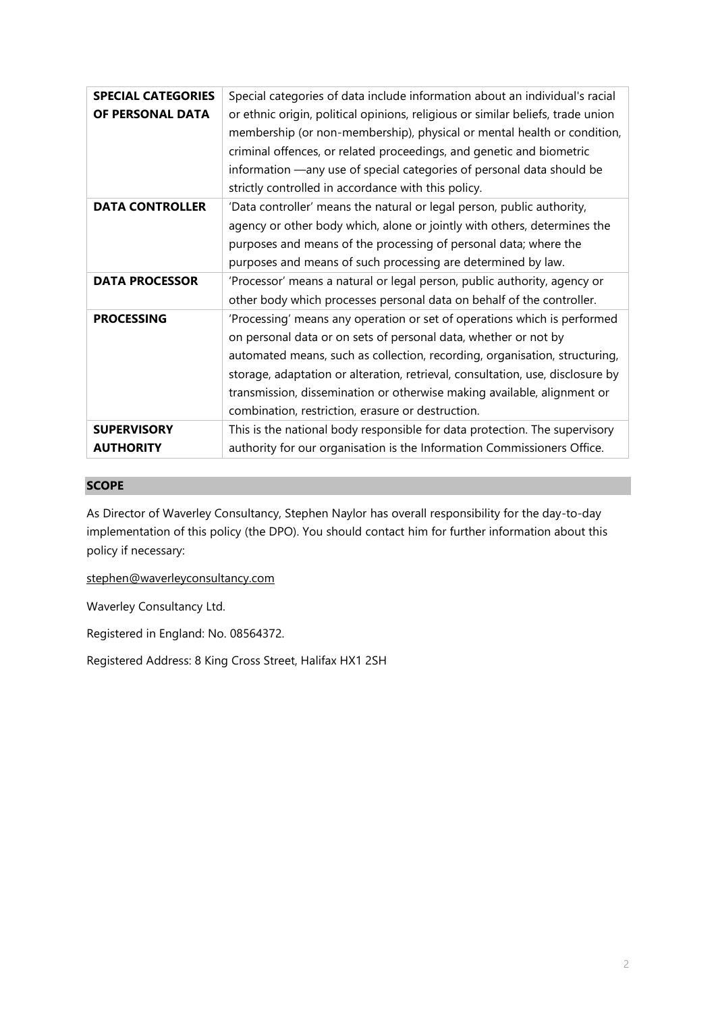| <b>SPECIAL CATEGORIES</b> | Special categories of data include information about an individual's racial                                                                                |
|---------------------------|------------------------------------------------------------------------------------------------------------------------------------------------------------|
| OF PERSONAL DATA          | or ethnic origin, political opinions, religious or similar beliefs, trade union<br>membership (or non-membership), physical or mental health or condition, |
|                           | criminal offences, or related proceedings, and genetic and biometric                                                                                       |
|                           |                                                                                                                                                            |
|                           | information —any use of special categories of personal data should be                                                                                      |
|                           | strictly controlled in accordance with this policy.                                                                                                        |
| <b>DATA CONTROLLER</b>    | 'Data controller' means the natural or legal person, public authority,                                                                                     |
|                           | agency or other body which, alone or jointly with others, determines the                                                                                   |
|                           | purposes and means of the processing of personal data; where the                                                                                           |
|                           | purposes and means of such processing are determined by law.                                                                                               |
| <b>DATA PROCESSOR</b>     | 'Processor' means a natural or legal person, public authority, agency or                                                                                   |
|                           | other body which processes personal data on behalf of the controller.                                                                                      |
| <b>PROCESSING</b>         | 'Processing' means any operation or set of operations which is performed                                                                                   |
|                           | on personal data or on sets of personal data, whether or not by                                                                                            |
|                           | automated means, such as collection, recording, organisation, structuring,                                                                                 |
|                           | storage, adaptation or alteration, retrieval, consultation, use, disclosure by                                                                             |
|                           | transmission, dissemination or otherwise making available, alignment or                                                                                    |
|                           | combination, restriction, erasure or destruction.                                                                                                          |
| <b>SUPERVISORY</b>        | This is the national body responsible for data protection. The supervisory                                                                                 |
| <b>AUTHORITY</b>          | authority for our organisation is the Information Commissioners Office.                                                                                    |
|                           |                                                                                                                                                            |

## **SCOPE**

As Director of Waverley Consultancy, Stephen Naylor has overall responsibility for the day-to-day implementation of this policy (the DPO). You should contact him for further information about this policy if necessary:

[stephen@waverleyconsultancy.com](mailto:stephen@waverleyconsultancy.com)

Waverley Consultancy Ltd.

Registered in England: No. 08564372.

Registered Address: 8 King Cross Street, Halifax HX1 2SH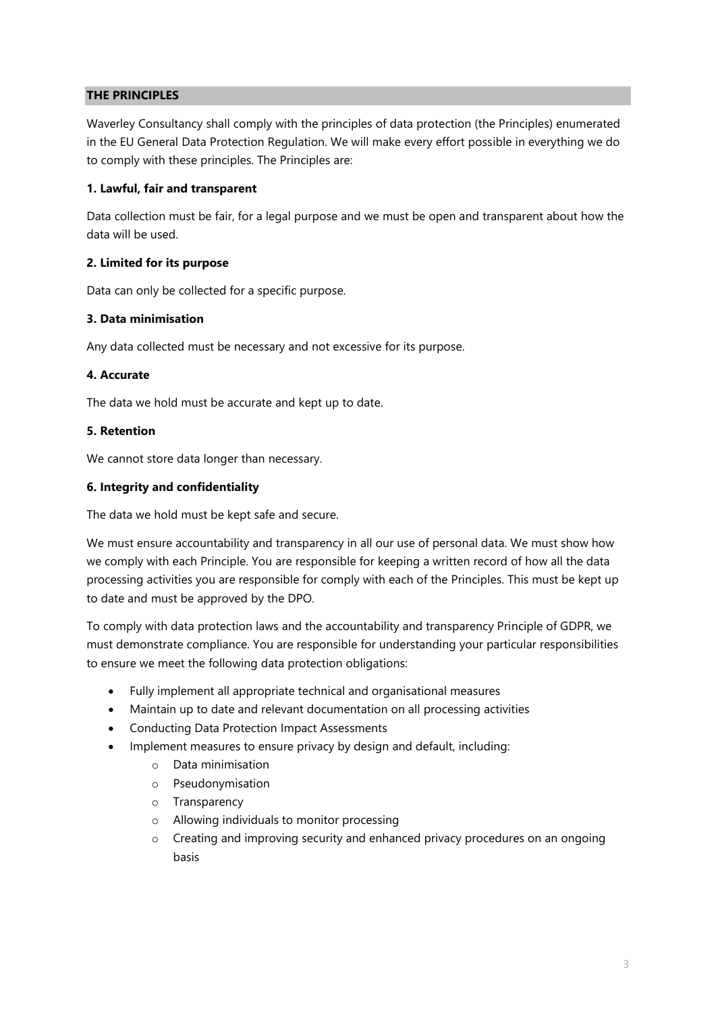## **THE PRINCIPLES**

Waverley Consultancy shall comply with the principles of data protection (the Principles) enumerated in the EU General Data Protection Regulation. We will make every effort possible in everything we do to comply with these principles. The Principles are:

## **1. Lawful, fair and transparent**

Data collection must be fair, for a legal purpose and we must be open and transparent about how the data will be used.

## **2. Limited for its purpose**

Data can only be collected for a specific purpose.

#### **3. Data minimisation**

Any data collected must be necessary and not excessive for its purpose.

#### **4. Accurate**

The data we hold must be accurate and kept up to date.

#### **5. Retention**

We cannot store data longer than necessary.

#### **6. Integrity and confidentiality**

The data we hold must be kept safe and secure.

We must ensure accountability and transparency in all our use of personal data. We must show how we comply with each Principle. You are responsible for keeping a written record of how all the data processing activities you are responsible for comply with each of the Principles. This must be kept up to date and must be approved by the DPO.

To comply with data protection laws and the accountability and transparency Principle of GDPR, we must demonstrate compliance. You are responsible for understanding your particular responsibilities to ensure we meet the following data protection obligations:

- Fully implement all appropriate technical and organisational measures
- Maintain up to date and relevant documentation on all processing activities
- Conducting Data Protection Impact Assessments
- Implement measures to ensure privacy by design and default, including:
	- o Data minimisation
	- o Pseudonymisation
	- o Transparency
	- o Allowing individuals to monitor processing
	- o Creating and improving security and enhanced privacy procedures on an ongoing basis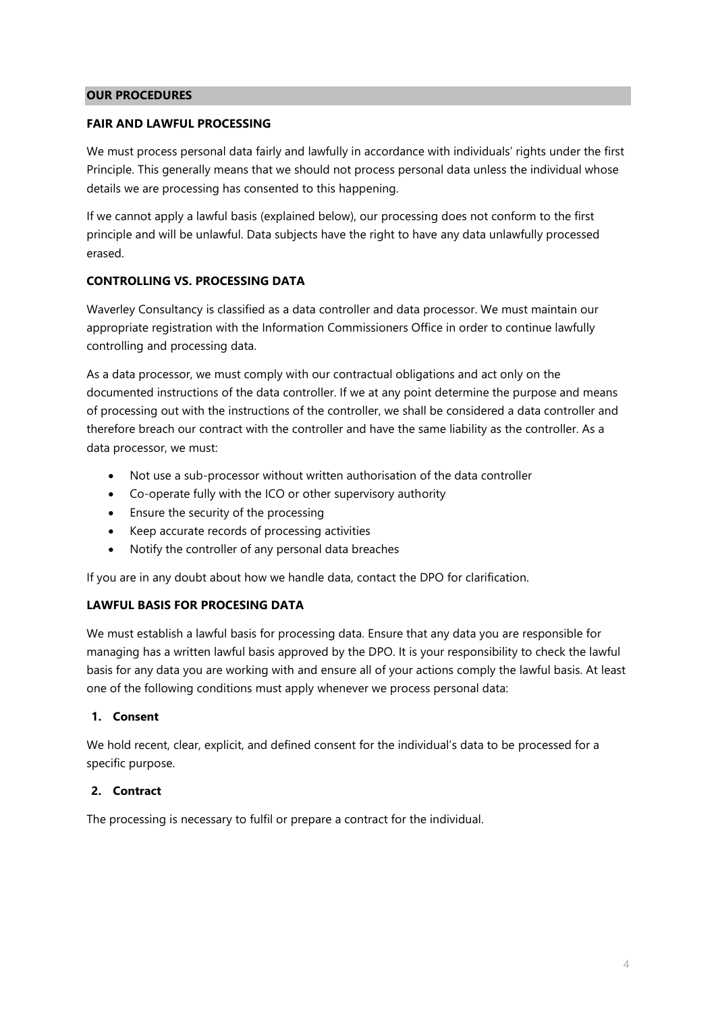#### **OUR PROCEDURES**

#### **FAIR AND LAWFUL PROCESSING**

We must process personal data fairly and lawfully in accordance with individuals' rights under the first Principle. This generally means that we should not process personal data unless the individual whose details we are processing has consented to this happening.

If we cannot apply a lawful basis (explained below), our processing does not conform to the first principle and will be unlawful. Data subjects have the right to have any data unlawfully processed erased.

## **CONTROLLING VS. PROCESSING DATA**

Waverley Consultancy is classified as a data controller and data processor. We must maintain our appropriate registration with the Information Commissioners Office in order to continue lawfully controlling and processing data.

As a data processor, we must comply with our contractual obligations and act only on the documented instructions of the data controller. If we at any point determine the purpose and means of processing out with the instructions of the controller, we shall be considered a data controller and therefore breach our contract with the controller and have the same liability as the controller. As a data processor, we must:

- Not use a sub-processor without written authorisation of the data controller
- Co-operate fully with the ICO or other supervisory authority
- Ensure the security of the processing
- Keep accurate records of processing activities
- Notify the controller of any personal data breaches

If you are in any doubt about how we handle data, contact the DPO for clarification.

#### **LAWFUL BASIS FOR PROCESING DATA**

We must establish a lawful basis for processing data. Ensure that any data you are responsible for managing has a written lawful basis approved by the DPO. It is your responsibility to check the lawful basis for any data you are working with and ensure all of your actions comply the lawful basis. At least one of the following conditions must apply whenever we process personal data:

### **1. Consent**

We hold recent, clear, explicit, and defined consent for the individual's data to be processed for a specific purpose.

## **2. Contract**

The processing is necessary to fulfil or prepare a contract for the individual.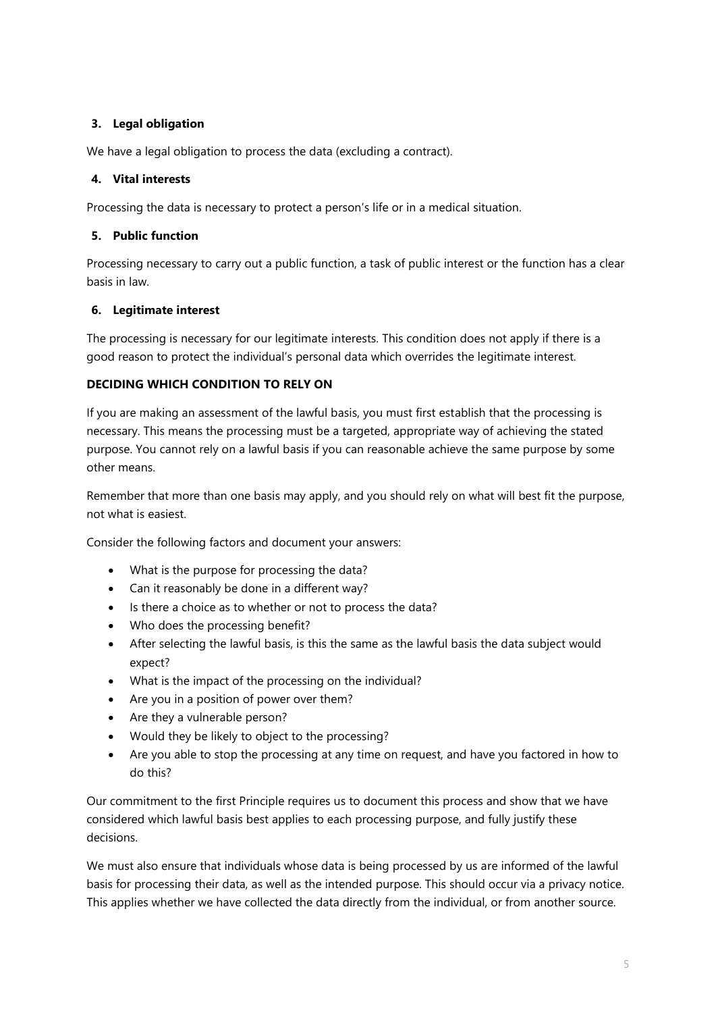# **3. Legal obligation**

We have a legal obligation to process the data (excluding a contract).

## **4. Vital interests**

Processing the data is necessary to protect a person's life or in a medical situation.

## **5. Public function**

Processing necessary to carry out a public function, a task of public interest or the function has a clear basis in law.

## **6. Legitimate interest**

The processing is necessary for our legitimate interests. This condition does not apply if there is a good reason to protect the individual's personal data which overrides the legitimate interest.

## **DECIDING WHICH CONDITION TO RELY ON**

If you are making an assessment of the lawful basis, you must first establish that the processing is necessary. This means the processing must be a targeted, appropriate way of achieving the stated purpose. You cannot rely on a lawful basis if you can reasonable achieve the same purpose by some other means.

Remember that more than one basis may apply, and you should rely on what will best fit the purpose, not what is easiest.

Consider the following factors and document your answers:

- What is the purpose for processing the data?
- Can it reasonably be done in a different way?
- Is there a choice as to whether or not to process the data?
- Who does the processing benefit?
- After selecting the lawful basis, is this the same as the lawful basis the data subject would expect?
- What is the impact of the processing on the individual?
- Are you in a position of power over them?
- Are they a vulnerable person?
- Would they be likely to object to the processing?
- Are you able to stop the processing at any time on request, and have you factored in how to do this?

Our commitment to the first Principle requires us to document this process and show that we have considered which lawful basis best applies to each processing purpose, and fully justify these decisions.

We must also ensure that individuals whose data is being processed by us are informed of the lawful basis for processing their data, as well as the intended purpose. This should occur via a privacy notice. This applies whether we have collected the data directly from the individual, or from another source.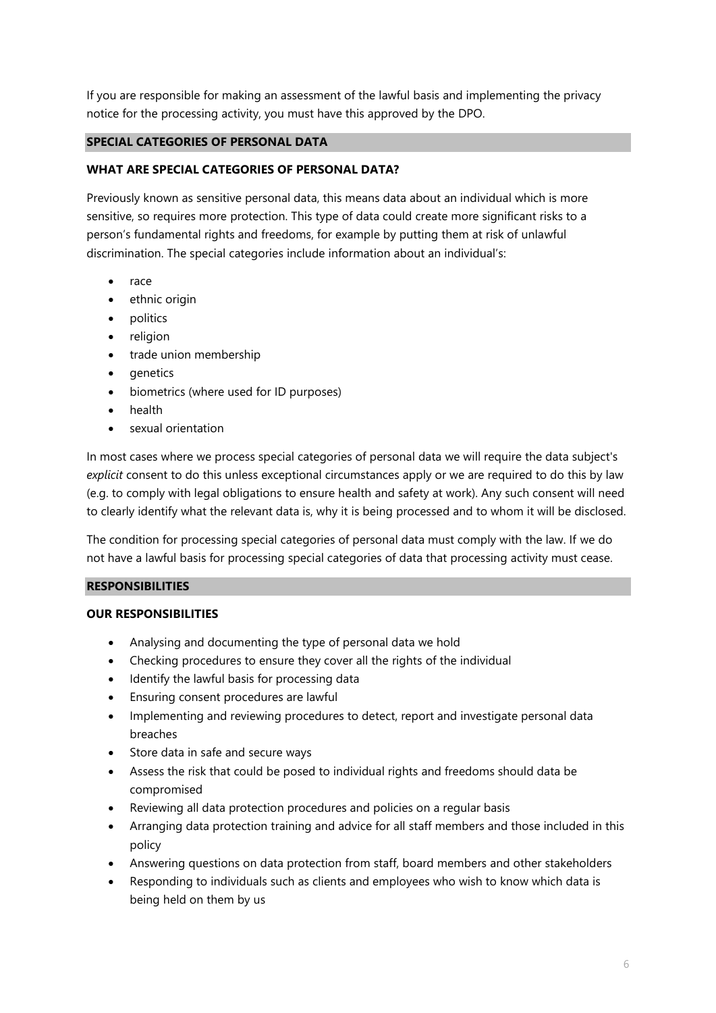If you are responsible for making an assessment of the lawful basis and implementing the privacy notice for the processing activity, you must have this approved by the DPO.

## **SPECIAL CATEGORIES OF PERSONAL DATA**

## **WHAT ARE SPECIAL CATEGORIES OF PERSONAL DATA?**

Previously known as sensitive personal data, this means data about an individual which is more sensitive, so requires more protection. This type of data could create more significant risks to a person's fundamental rights and freedoms, for example by putting them at risk of unlawful discrimination. The special categories include information about an individual's:

- race
- ethnic origin
- politics
- religion
- trade union membership
- **genetics**
- biometrics (where used for ID purposes)
- health
- sexual orientation

In most cases where we process special categories of personal data we will require the data subject's *explicit* consent to do this unless exceptional circumstances apply or we are required to do this by law (e.g. to comply with legal obligations to ensure health and safety at work). Any such consent will need to clearly identify what the relevant data is, why it is being processed and to whom it will be disclosed.

The condition for processing special categories of personal data must comply with the law. If we do not have a lawful basis for processing special categories of data that processing activity must cease.

#### **RESPONSIBILITIES**

#### **OUR RESPONSIBILITIES**

- Analysing and documenting the type of personal data we hold
- Checking procedures to ensure they cover all the rights of the individual
- Identify the lawful basis for processing data
- Ensuring consent procedures are lawful
- Implementing and reviewing procedures to detect, report and investigate personal data breaches
- Store data in safe and secure ways
- Assess the risk that could be posed to individual rights and freedoms should data be compromised
- Reviewing all data protection procedures and policies on a regular basis
- Arranging data protection training and advice for all staff members and those included in this policy
- Answering questions on data protection from staff, board members and other stakeholders
- Responding to individuals such as clients and employees who wish to know which data is being held on them by us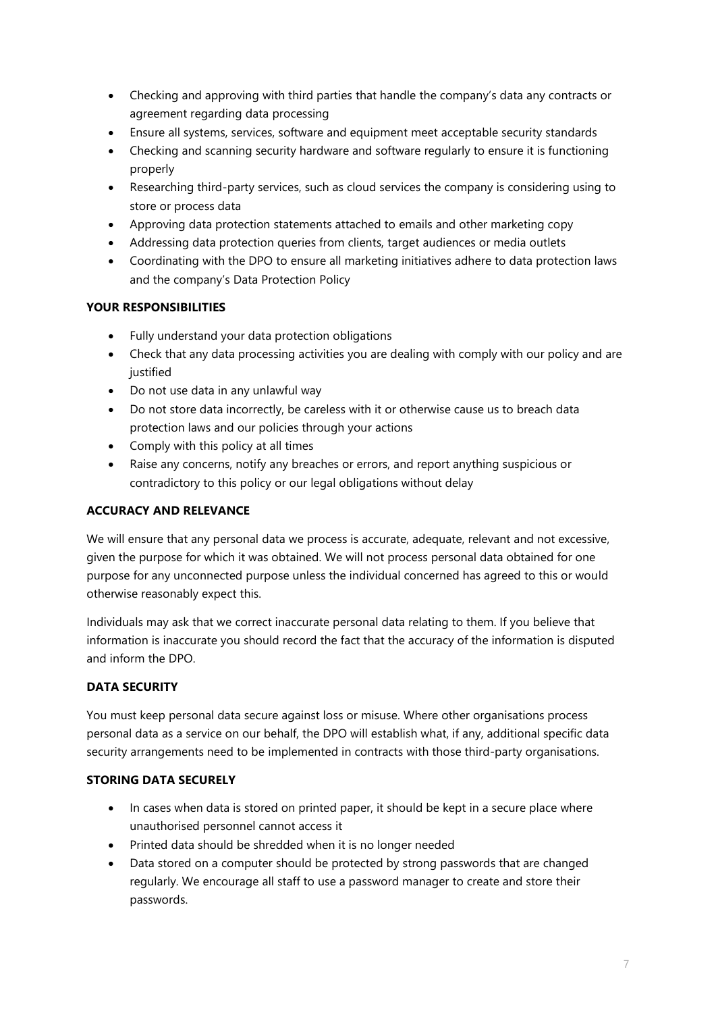- Checking and approving with third parties that handle the company's data any contracts or agreement regarding data processing
- Ensure all systems, services, software and equipment meet acceptable security standards
- Checking and scanning security hardware and software regularly to ensure it is functioning properly
- Researching third-party services, such as cloud services the company is considering using to store or process data
- Approving data protection statements attached to emails and other marketing copy
- Addressing data protection queries from clients, target audiences or media outlets
- Coordinating with the DPO to ensure all marketing initiatives adhere to data protection laws and the company's Data Protection Policy

# **YOUR RESPONSIBILITIES**

- Fully understand your data protection obligations
- Check that any data processing activities you are dealing with comply with our policy and are justified
- Do not use data in any unlawful way
- Do not store data incorrectly, be careless with it or otherwise cause us to breach data protection laws and our policies through your actions
- Comply with this policy at all times
- Raise any concerns, notify any breaches or errors, and report anything suspicious or contradictory to this policy or our legal obligations without delay

## **ACCURACY AND RELEVANCE**

We will ensure that any personal data we process is accurate, adequate, relevant and not excessive, given the purpose for which it was obtained. We will not process personal data obtained for one purpose for any unconnected purpose unless the individual concerned has agreed to this or would otherwise reasonably expect this.

Individuals may ask that we correct inaccurate personal data relating to them. If you believe that information is inaccurate you should record the fact that the accuracy of the information is disputed and inform the DPO.

# **DATA SECURITY**

You must keep personal data secure against loss or misuse. Where other organisations process personal data as a service on our behalf, the DPO will establish what, if any, additional specific data security arrangements need to be implemented in contracts with those third-party organisations.

## **STORING DATA SECURELY**

- In cases when data is stored on printed paper, it should be kept in a secure place where unauthorised personnel cannot access it
- Printed data should be shredded when it is no longer needed
- Data stored on a computer should be protected by strong passwords that are changed regularly. We encourage all staff to use a password manager to create and store their passwords.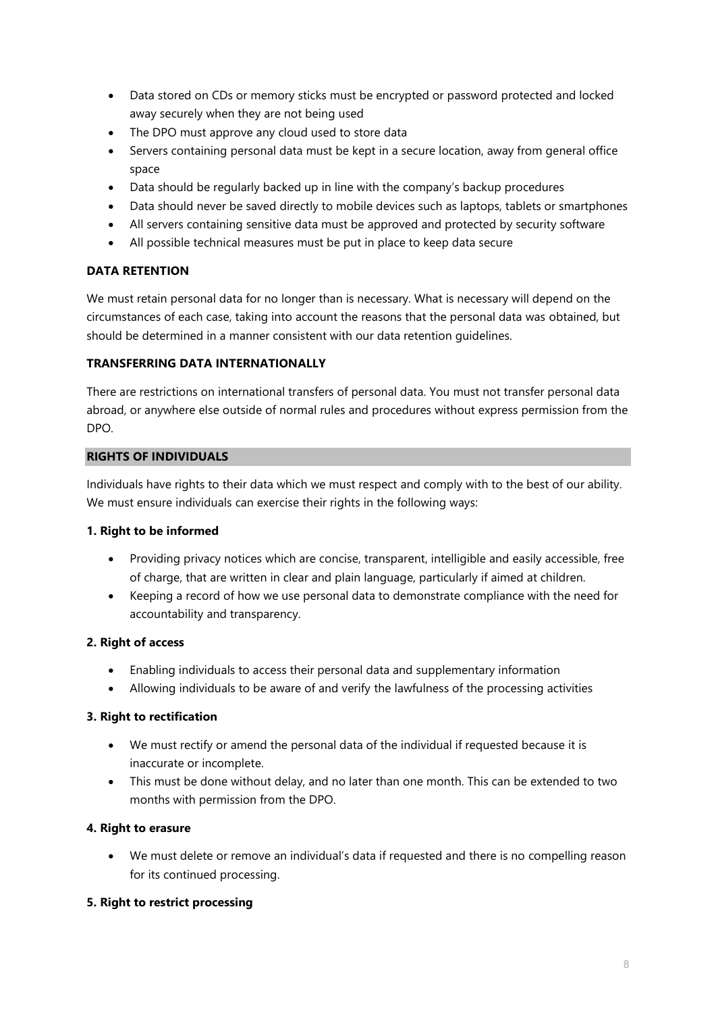- Data stored on CDs or memory sticks must be encrypted or password protected and locked away securely when they are not being used
- The DPO must approve any cloud used to store data
- Servers containing personal data must be kept in a secure location, away from general office space
- Data should be regularly backed up in line with the company's backup procedures
- Data should never be saved directly to mobile devices such as laptops, tablets or smartphones
- All servers containing sensitive data must be approved and protected by security software
- All possible technical measures must be put in place to keep data secure

# **DATA RETENTION**

We must retain personal data for no longer than is necessary. What is necessary will depend on the circumstances of each case, taking into account the reasons that the personal data was obtained, but should be determined in a manner consistent with our data retention guidelines.

## **TRANSFERRING DATA INTERNATIONALLY**

There are restrictions on international transfers of personal data. You must not transfer personal data abroad, or anywhere else outside of normal rules and procedures without express permission from the DPO.

## **RIGHTS OF INDIVIDUALS**

Individuals have rights to their data which we must respect and comply with to the best of our ability. We must ensure individuals can exercise their rights in the following ways:

## **1. Right to be informed**

- Providing privacy notices which are concise, transparent, intelligible and easily accessible, free of charge, that are written in clear and plain language, particularly if aimed at children.
- Keeping a record of how we use personal data to demonstrate compliance with the need for accountability and transparency.

## **2. Right of access**

- Enabling individuals to access their personal data and supplementary information
- Allowing individuals to be aware of and verify the lawfulness of the processing activities

## **3. Right to rectification**

- We must rectify or amend the personal data of the individual if requested because it is inaccurate or incomplete.
- This must be done without delay, and no later than one month. This can be extended to two months with permission from the DPO.

## **4. Right to erasure**

• We must delete or remove an individual's data if requested and there is no compelling reason for its continued processing.

## **5. Right to restrict processing**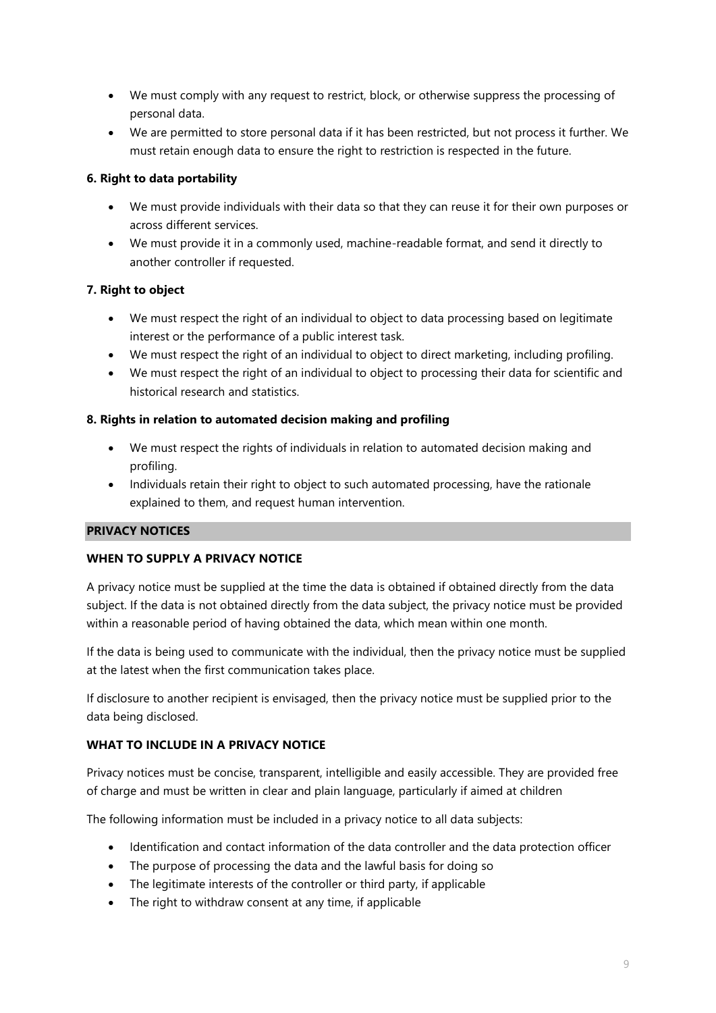- We must comply with any request to restrict, block, or otherwise suppress the processing of personal data.
- We are permitted to store personal data if it has been restricted, but not process it further. We must retain enough data to ensure the right to restriction is respected in the future.

# **6. Right to data portability**

- We must provide individuals with their data so that they can reuse it for their own purposes or across different services.
- We must provide it in a commonly used, machine-readable format, and send it directly to another controller if requested.

# **7. Right to object**

- We must respect the right of an individual to object to data processing based on legitimate interest or the performance of a public interest task.
- We must respect the right of an individual to object to direct marketing, including profiling.
- We must respect the right of an individual to object to processing their data for scientific and historical research and statistics.

# **8. Rights in relation to automated decision making and profiling**

- We must respect the rights of individuals in relation to automated decision making and profiling.
- Individuals retain their right to object to such automated processing, have the rationale explained to them, and request human intervention.

# **PRIVACY NOTICES**

## **WHEN TO SUPPLY A PRIVACY NOTICE**

A privacy notice must be supplied at the time the data is obtained if obtained directly from the data subject. If the data is not obtained directly from the data subject, the privacy notice must be provided within a reasonable period of having obtained the data, which mean within one month.

If the data is being used to communicate with the individual, then the privacy notice must be supplied at the latest when the first communication takes place.

If disclosure to another recipient is envisaged, then the privacy notice must be supplied prior to the data being disclosed.

## **WHAT TO INCLUDE IN A PRIVACY NOTICE**

Privacy notices must be concise, transparent, intelligible and easily accessible. They are provided free of charge and must be written in clear and plain language, particularly if aimed at children

The following information must be included in a privacy notice to all data subjects:

- Identification and contact information of the data controller and the data protection officer
- The purpose of processing the data and the lawful basis for doing so
- The legitimate interests of the controller or third party, if applicable
- The right to withdraw consent at any time, if applicable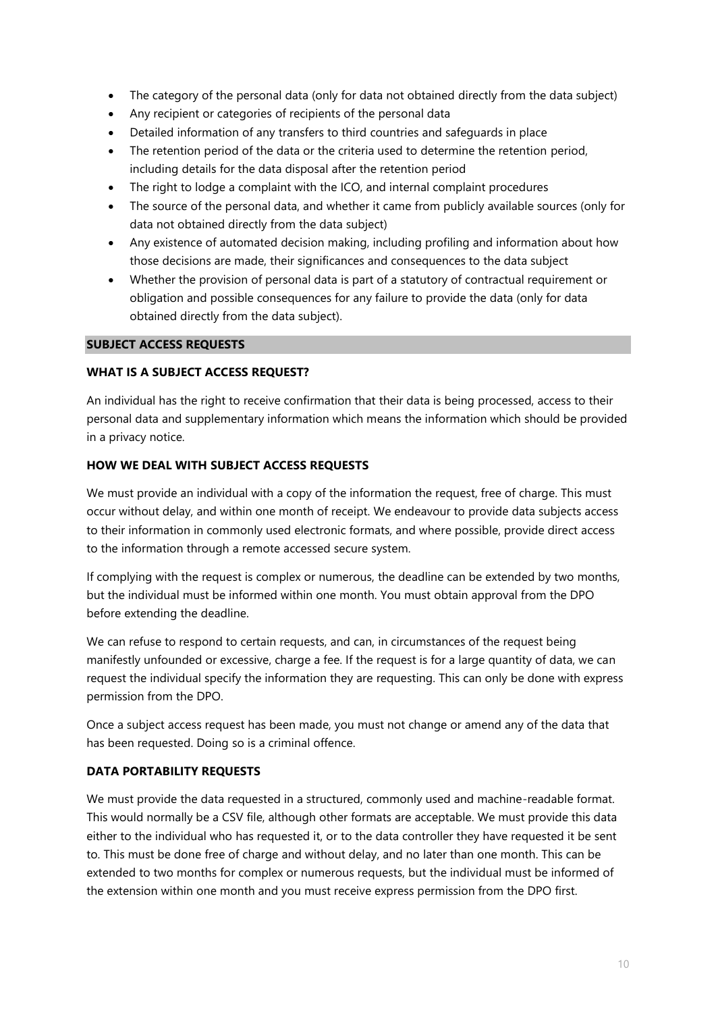- The category of the personal data (only for data not obtained directly from the data subject)
- Any recipient or categories of recipients of the personal data
- Detailed information of any transfers to third countries and safeguards in place
- The retention period of the data or the criteria used to determine the retention period, including details for the data disposal after the retention period
- The right to lodge a complaint with the ICO, and internal complaint procedures
- The source of the personal data, and whether it came from publicly available sources (only for data not obtained directly from the data subject)
- Any existence of automated decision making, including profiling and information about how those decisions are made, their significances and consequences to the data subject
- Whether the provision of personal data is part of a statutory of contractual requirement or obligation and possible consequences for any failure to provide the data (only for data obtained directly from the data subject).

#### **SUBJECT ACCESS REQUESTS**

#### **WHAT IS A SUBJECT ACCESS REQUEST?**

An individual has the right to receive confirmation that their data is being processed, access to their personal data and supplementary information which means the information which should be provided in a privacy notice.

#### **HOW WE DEAL WITH SUBJECT ACCESS REQUESTS**

We must provide an individual with a copy of the information the request, free of charge. This must occur without delay, and within one month of receipt. We endeavour to provide data subjects access to their information in commonly used electronic formats, and where possible, provide direct access to the information through a remote accessed secure system.

If complying with the request is complex or numerous, the deadline can be extended by two months, but the individual must be informed within one month. You must obtain approval from the DPO before extending the deadline.

We can refuse to respond to certain requests, and can, in circumstances of the request being manifestly unfounded or excessive, charge a fee. If the request is for a large quantity of data, we can request the individual specify the information they are requesting. This can only be done with express permission from the DPO.

Once a subject access request has been made, you must not change or amend any of the data that has been requested. Doing so is a criminal offence.

#### **DATA PORTABILITY REQUESTS**

We must provide the data requested in a structured, commonly used and machine-readable format. This would normally be a CSV file, although other formats are acceptable. We must provide this data either to the individual who has requested it, or to the data controller they have requested it be sent to. This must be done free of charge and without delay, and no later than one month. This can be extended to two months for complex or numerous requests, but the individual must be informed of the extension within one month and you must receive express permission from the DPO first.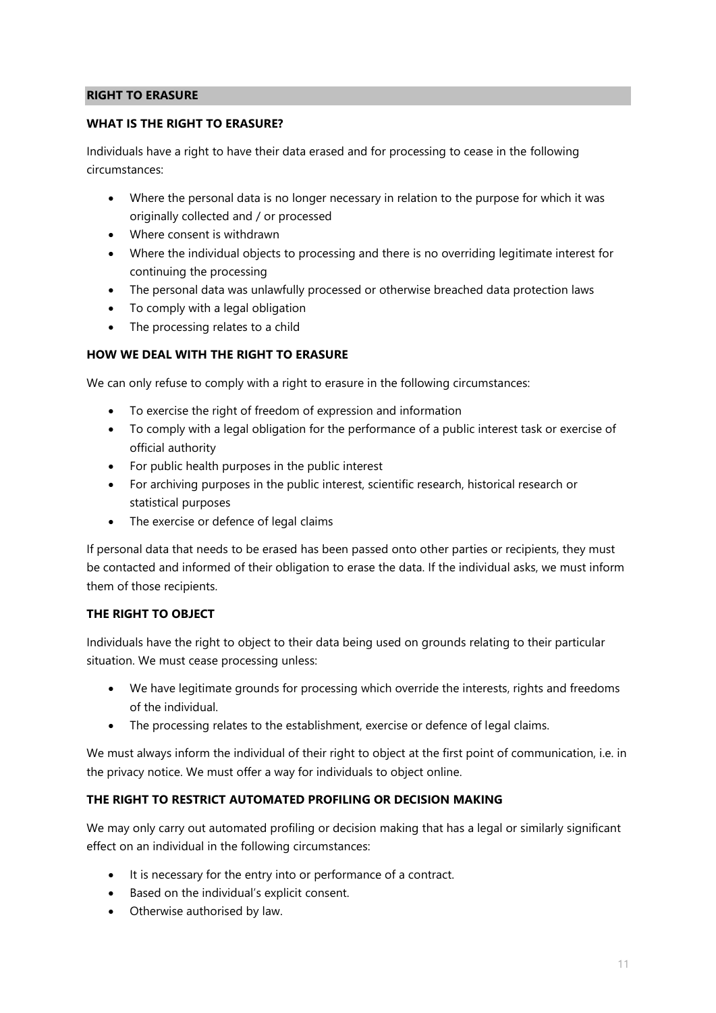#### **RIGHT TO ERASURE**

#### **WHAT IS THE RIGHT TO ERASURE?**

Individuals have a right to have their data erased and for processing to cease in the following circumstances:

- Where the personal data is no longer necessary in relation to the purpose for which it was originally collected and / or processed
- Where consent is withdrawn
- Where the individual objects to processing and there is no overriding legitimate interest for continuing the processing
- The personal data was unlawfully processed or otherwise breached data protection laws
- To comply with a legal obligation
- The processing relates to a child

#### **HOW WE DEAL WITH THE RIGHT TO ERASURE**

We can only refuse to comply with a right to erasure in the following circumstances:

- To exercise the right of freedom of expression and information
- To comply with a legal obligation for the performance of a public interest task or exercise of official authority
- For public health purposes in the public interest
- For archiving purposes in the public interest, scientific research, historical research or statistical purposes
- The exercise or defence of legal claims

If personal data that needs to be erased has been passed onto other parties or recipients, they must be contacted and informed of their obligation to erase the data. If the individual asks, we must inform them of those recipients.

#### **THE RIGHT TO OBJECT**

Individuals have the right to object to their data being used on grounds relating to their particular situation. We must cease processing unless:

- We have legitimate grounds for processing which override the interests, rights and freedoms of the individual.
- The processing relates to the establishment, exercise or defence of legal claims.

We must always inform the individual of their right to object at the first point of communication, i.e. in the privacy notice. We must offer a way for individuals to object online.

#### **THE RIGHT TO RESTRICT AUTOMATED PROFILING OR DECISION MAKING**

We may only carry out automated profiling or decision making that has a legal or similarly significant effect on an individual in the following circumstances:

- It is necessary for the entry into or performance of a contract.
- Based on the individual's explicit consent.
- Otherwise authorised by law.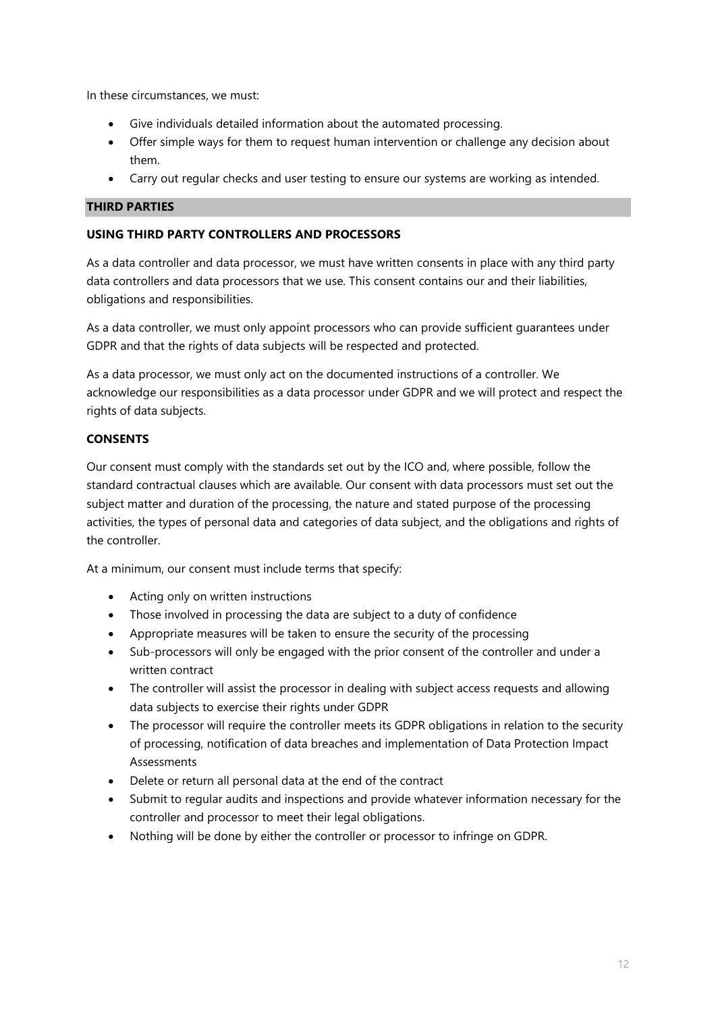In these circumstances, we must:

- Give individuals detailed information about the automated processing.
- Offer simple ways for them to request human intervention or challenge any decision about them.
- Carry out regular checks and user testing to ensure our systems are working as intended.

## **THIRD PARTIES**

## **USING THIRD PARTY CONTROLLERS AND PROCESSORS**

As a data controller and data processor, we must have written consents in place with any third party data controllers and data processors that we use. This consent contains our and their liabilities, obligations and responsibilities.

As a data controller, we must only appoint processors who can provide sufficient guarantees under GDPR and that the rights of data subjects will be respected and protected.

As a data processor, we must only act on the documented instructions of a controller. We acknowledge our responsibilities as a data processor under GDPR and we will protect and respect the rights of data subjects.

# **CONSENTS**

Our consent must comply with the standards set out by the ICO and, where possible, follow the standard contractual clauses which are available. Our consent with data processors must set out the subject matter and duration of the processing, the nature and stated purpose of the processing activities, the types of personal data and categories of data subject, and the obligations and rights of the controller.

At a minimum, our consent must include terms that specify:

- Acting only on written instructions
- Those involved in processing the data are subject to a duty of confidence
- Appropriate measures will be taken to ensure the security of the processing
- Sub-processors will only be engaged with the prior consent of the controller and under a written contract
- The controller will assist the processor in dealing with subject access requests and allowing data subjects to exercise their rights under GDPR
- The processor will require the controller meets its GDPR obligations in relation to the security of processing, notification of data breaches and implementation of Data Protection Impact Assessments
- Delete or return all personal data at the end of the contract
- Submit to regular audits and inspections and provide whatever information necessary for the controller and processor to meet their legal obligations.
- Nothing will be done by either the controller or processor to infringe on GDPR.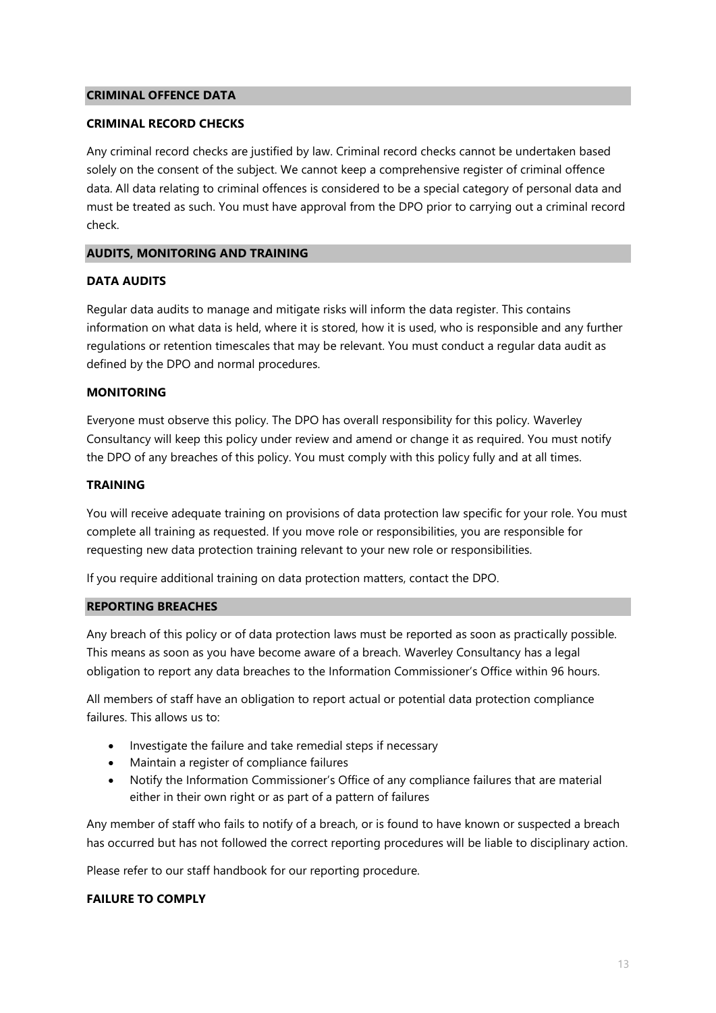#### **CRIMINAL OFFENCE DATA**

#### **CRIMINAL RECORD CHECKS**

Any criminal record checks are justified by law. Criminal record checks cannot be undertaken based solely on the consent of the subject. We cannot keep a comprehensive register of criminal offence data. All data relating to criminal offences is considered to be a special category of personal data and must be treated as such. You must have approval from the DPO prior to carrying out a criminal record check.

#### **AUDITS, MONITORING AND TRAINING**

#### **DATA AUDITS**

Regular data audits to manage and mitigate risks will inform the data register. This contains information on what data is held, where it is stored, how it is used, who is responsible and any further regulations or retention timescales that may be relevant. You must conduct a regular data audit as defined by the DPO and normal procedures.

#### **MONITORING**

Everyone must observe this policy. The DPO has overall responsibility for this policy. Waverley Consultancy will keep this policy under review and amend or change it as required. You must notify the DPO of any breaches of this policy. You must comply with this policy fully and at all times.

#### **TRAINING**

You will receive adequate training on provisions of data protection law specific for your role. You must complete all training as requested. If you move role or responsibilities, you are responsible for requesting new data protection training relevant to your new role or responsibilities.

If you require additional training on data protection matters, contact the DPO.

#### **REPORTING BREACHES**

Any breach of this policy or of data protection laws must be reported as soon as practically possible. This means as soon as you have become aware of a breach. Waverley Consultancy has a legal obligation to report any data breaches to the Information Commissioner's Office within 96 hours.

All members of staff have an obligation to report actual or potential data protection compliance failures. This allows us to:

- Investigate the failure and take remedial steps if necessary
- Maintain a register of compliance failures
- Notify the Information Commissioner's Office of any compliance failures that are material either in their own right or as part of a pattern of failures

Any member of staff who fails to notify of a breach, or is found to have known or suspected a breach has occurred but has not followed the correct reporting procedures will be liable to disciplinary action.

Please refer to our staff handbook for our reporting procedure.

#### **FAILURE TO COMPLY**